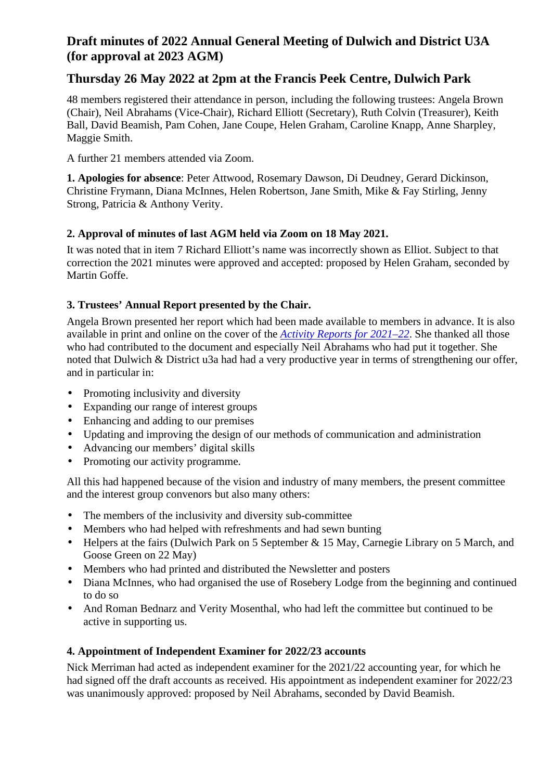# **Draft minutes of 2022 Annual General Meeting of Dulwich and District U3A (for approval at 2023 AGM)**

## **Thursday 26 May 2022 at 2pm at the Francis Peek Centre, Dulwich Park**

48 members registered their attendance in person, including the following trustees: Angela Brown (Chair), Neil Abrahams (Vice-Chair), Richard Elliott (Secretary), Ruth Colvin (Treasurer), Keith Ball, David Beamish, Pam Cohen, Jane Coupe, Helen Graham, Caroline Knapp, Anne Sharpley, Maggie Smith.

A further 21 members attended via Zoom.

**1. Apologies for absence**: Peter Attwood, Rosemary Dawson, Di Deudney, Gerard Dickinson, Christine Frymann, Diana McInnes, Helen Robertson, Jane Smith, Mike & Fay Stirling, Jenny Strong, Patricia & Anthony Verity.

## **2. Approval of minutes of last AGM held via Zoom on 18 May 2021.**

It was noted that in item 7 Richard Elliott's name was incorrectly shown as Elliot. Subject to that correction the 2021 minutes were approved and accepted: proposed by Helen Graham, seconded by Martin Goffe.

## **3. Trustees' Annual Report presented by the Chair.**

Angela Brown presented her report which had been made available to members in advance. It is also available in print and online on the cover of the *Activity Reports for 2021–22*. She thanked all those who had contributed to the document and especially Neil Abrahams who had put it together. She noted that Dulwich & District u3a had had a very productive year in terms of strengthening our offer, and in particular in:

- $\mathbf{r}^{\prime}$ Promoting inclusivity and diversity
- Expanding our range of interest groups  $\mathbf{r}$
- Enhancing and adding to our premises  $\mathbf{r}$
- Updating and improving the design of our methods of communication and administration  $\mathbf{r}$
- Advancing our members' digital skills
- Promoting our activity programme. ä,

All this had happened because of the vision and industry of many members, the present committee and the interest group convenors but also many others:

- The members of the inclusivity and diversity sub-committee  $\mathbf{r}$
- Members who had helped with refreshments and had sewn bunting
- Helpers at the fairs (Dulwich Park on 5 September & 15 May, Carnegie Library on 5 March, and Goose Green on 22 May)
- Members who had printed and distributed the Newsletter and posters
- Diana McInnes, who had organised the use of Rosebery Lodge from the beginning and continued to do so
- And Roman Bednarz and Verity Mosenthal, who had left the committee but continued to be  $\mathbf{r}^{\pm}$ active in supporting us.

## **4. Appointment of Independent Examiner for 2022/23 accounts**

Nick Merriman had acted as independent examiner for the 2021/22 accounting year, for which he had signed off the draft accounts as received. His appointment as independent examiner for 2022/23 was unanimously approved: proposed by Neil Abrahams, seconded by David Beamish.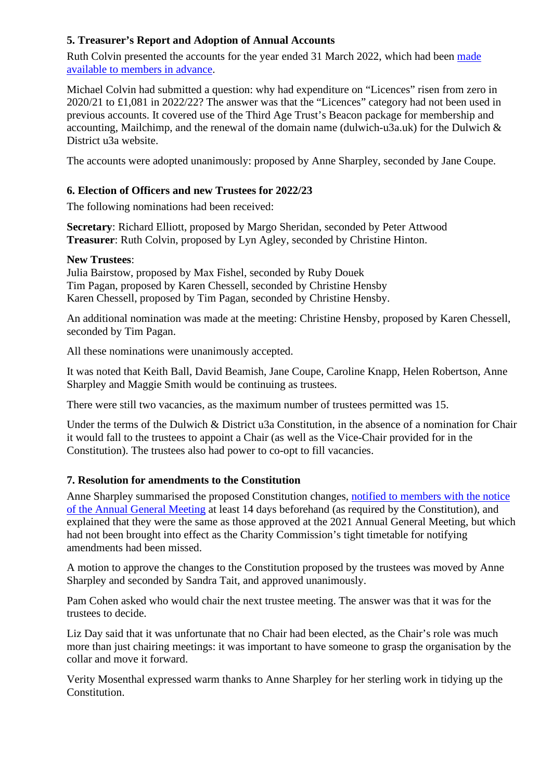### **5. Treasurer's Report and Adoption of Annual Accounts**

Ruth Colvin presented the accounts for the year ended 31 March 2022, which had been made available to members in advance.

Michael Colvin had submitted a question: why had expenditure on "Licences" risen from zero in 2020/21 to £1,081 in 2022/22? The answer was that the "Licences" category had not been used in previous accounts. It covered use of the Third Age Trust's Beacon package for membership and accounting, Mailchimp, and the renewal of the domain name (dulwich-u3a.uk) for the Dulwich & District u3a website.

The accounts were adopted unanimously: proposed by Anne Sharpley, seconded by Jane Coupe.

### **6. Election of Officers and new Trustees for 2022/23**

The following nominations had been received:

**Secretary**: Richard Elliott, proposed by Margo Sheridan, seconded by Peter Attwood **Treasurer**: Ruth Colvin, proposed by Lyn Agley, seconded by Christine Hinton.

#### **New Trustees**:

Julia Bairstow, proposed by Max Fishel, seconded by Ruby Douek Tim Pagan, proposed by Karen Chessell, seconded by Christine Hensby Karen Chessell, proposed by Tim Pagan, seconded by Christine Hensby.

An additional nomination was made at the meeting: Christine Hensby, proposed by Karen Chessell, seconded by Tim Pagan.

All these nominations were unanimously accepted.

It was noted that Keith Ball, David Beamish, Jane Coupe, Caroline Knapp, Helen Robertson, Anne Sharpley and Maggie Smith would be continuing as trustees.

There were still two vacancies, as the maximum number of trustees permitted was 15.

Under the terms of the Dulwich & District u3a Constitution, in the absence of a nomination for Chair it would fall to the trustees to appoint a Chair (as well as the Vice-Chair provided for in the Constitution). The trustees also had power to co-opt to fill vacancies.

#### **7. Resolution for amendments to the Constitution**

Anne Sharpley summarised the proposed Constitution changes, notified to members with the notice of the Annual General Meeting at least 14 days beforehand (as required by the Constitution), and explained that they were the same as those approved at the 2021 Annual General Meeting, but which had not been brought into effect as the Charity Commission's tight timetable for notifying amendments had been missed.

A motion to approve the changes to the Constitution proposed by the trustees was moved by Anne Sharpley and seconded by Sandra Tait, and approved unanimously.

Pam Cohen asked who would chair the next trustee meeting. The answer was that it was for the trustees to decide.

Liz Day said that it was unfortunate that no Chair had been elected, as the Chair's role was much more than just chairing meetings: it was important to have someone to grasp the organisation by the collar and move it forward.

Verity Mosenthal expressed warm thanks to Anne Sharpley for her sterling work in tidying up the Constitution.